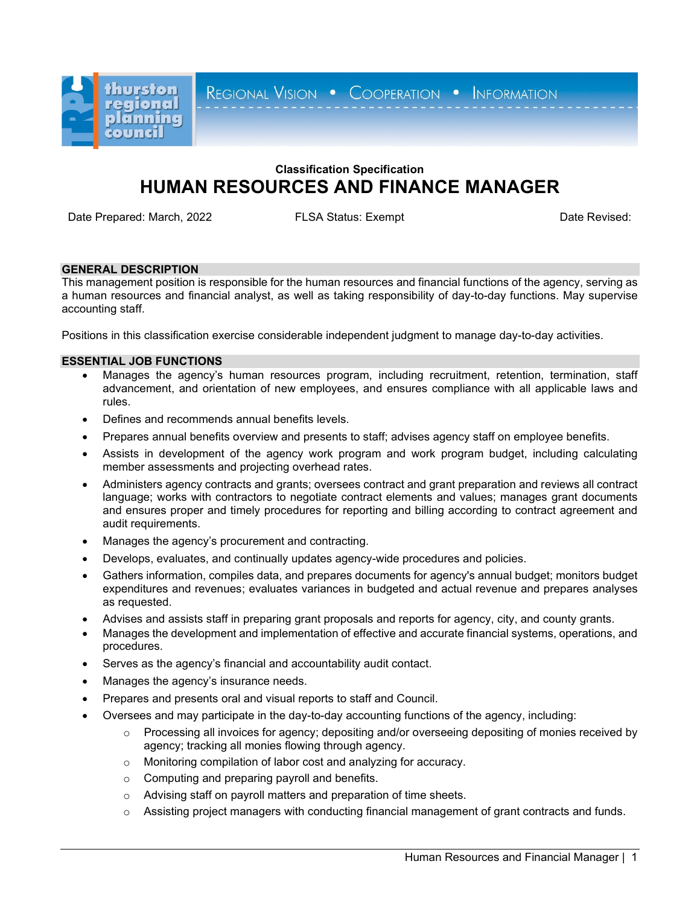

REGIONAL VISION . COOPERATION . INFORMATION

# **Classification Specification HUMAN RESOURCES AND FINANCE MANAGER**

Date Prepared: March, 2022 **FLSA Status: Exempt** Date Prepared: Date Revised:

## **GENERAL DESCRIPTION**

This management position is responsible for the human resources and financial functions of the agency, serving as a human resources and financial analyst, as well as taking responsibility of day-to-day functions. May supervise accounting staff.

Positions in this classification exercise considerable independent judgment to manage day-to-day activities.

## **ESSENTIAL JOB FUNCTIONS**

- Manages the agency's human resources program, including recruitment, retention, termination, staff advancement, and orientation of new employees, and ensures compliance with all applicable laws and rules.
- Defines and recommends annual benefits levels.
- Prepares annual benefits overview and presents to staff; advises agency staff on employee benefits.
- Assists in development of the agency work program and work program budget, including calculating member assessments and projecting overhead rates.
- Administers agency contracts and grants; oversees contract and grant preparation and reviews all contract language; works with contractors to negotiate contract elements and values; manages grant documents and ensures proper and timely procedures for reporting and billing according to contract agreement and audit requirements.
- Manages the agency's procurement and contracting.
- Develops, evaluates, and continually updates agency-wide procedures and policies.
- Gathers information, compiles data, and prepares documents for agency's annual budget; monitors budget expenditures and revenues; evaluates variances in budgeted and actual revenue and prepares analyses as requested.
- Advises and assists staff in preparing grant proposals and reports for agency, city, and county grants.
- Manages the development and implementation of effective and accurate financial systems, operations, and procedures.
- Serves as the agency's financial and accountability audit contact.
- Manages the agency's insurance needs.
- Prepares and presents oral and visual reports to staff and Council.
- Oversees and may participate in the day-to-day accounting functions of the agency, including:
	- $\circ$  Processing all invoices for agency; depositing and/or overseeing depositing of monies received by agency; tracking all monies flowing through agency.
	- o Monitoring compilation of labor cost and analyzing for accuracy.
	- o Computing and preparing payroll and benefits.
	- o Advising staff on payroll matters and preparation of time sheets.
	- $\circ$  Assisting project managers with conducting financial management of grant contracts and funds.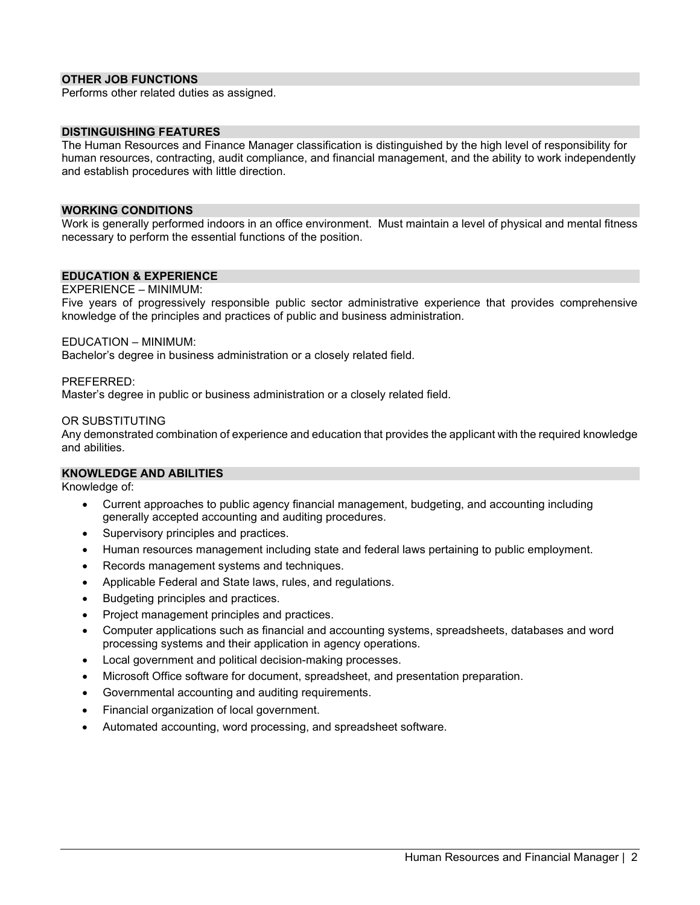## **OTHER JOB FUNCTIONS**

Performs other related duties as assigned.

#### **DISTINGUISHING FEATURES**

The Human Resources and Finance Manager classification is distinguished by the high level of responsibility for human resources, contracting, audit compliance, and financial management, and the ability to work independently and establish procedures with little direction.

#### **WORKING CONDITIONS**

Work is generally performed indoors in an office environment. Must maintain a level of physical and mental fitness necessary to perform the essential functions of the position.

#### **EDUCATION & EXPERIENCE**

EXPERIENCE – MINIMUM:

Five years of progressively responsible public sector administrative experience that provides comprehensive knowledge of the principles and practices of public and business administration.

#### EDUCATION – MINIMUM:

Bachelor's degree in business administration or a closely related field.

#### PREFERRED:

Master's degree in public or business administration or a closely related field.

#### OR SUBSTITUTING

Any demonstrated combination of experience and education that provides the applicant with the required knowledge and abilities.

#### **KNOWLEDGE AND ABILITIES**

Knowledge of:

- Current approaches to public agency financial management, budgeting, and accounting including generally accepted accounting and auditing procedures.
- Supervisory principles and practices.
- Human resources management including state and federal laws pertaining to public employment.
- Records management systems and techniques.
- Applicable Federal and State laws, rules, and regulations.
- Budgeting principles and practices.
- Project management principles and practices.
- Computer applications such as financial and accounting systems, spreadsheets, databases and word processing systems and their application in agency operations.
- Local government and political decision-making processes.
- Microsoft Office software for document, spreadsheet, and presentation preparation.
- Governmental accounting and auditing requirements.
- Financial organization of local government.
- Automated accounting, word processing, and spreadsheet software.